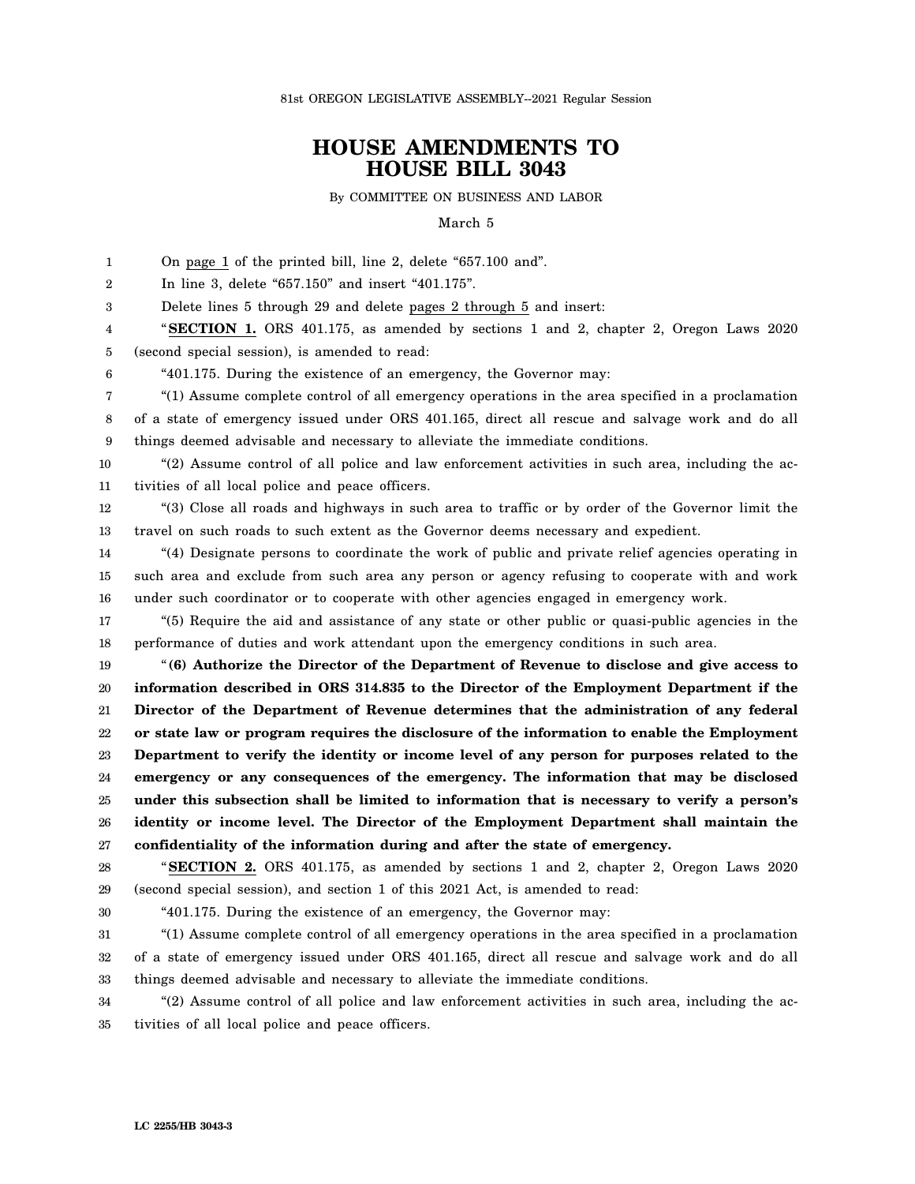81st OREGON LEGISLATIVE ASSEMBLY--2021 Regular Session

## **HOUSE AMENDMENTS TO HOUSE BILL 3043**

By COMMITTEE ON BUSINESS AND LABOR

March 5

1 2 3 4 5 6 7 8 9 10 11 12 13 14 15 16 17 18 19 20 21 22 23 24 25 26 27 28 29 On page 1 of the printed bill, line 2, delete "657.100 and". In line 3, delete "657.150" and insert "401.175". Delete lines 5 through 29 and delete pages 2 through 5 and insert: "**SECTION 1.** ORS 401.175, as amended by sections 1 and 2, chapter 2, Oregon Laws 2020 (second special session), is amended to read: "401.175. During the existence of an emergency, the Governor may: "(1) Assume complete control of all emergency operations in the area specified in a proclamation of a state of emergency issued under ORS 401.165, direct all rescue and salvage work and do all things deemed advisable and necessary to alleviate the immediate conditions. "(2) Assume control of all police and law enforcement activities in such area, including the activities of all local police and peace officers. "(3) Close all roads and highways in such area to traffic or by order of the Governor limit the travel on such roads to such extent as the Governor deems necessary and expedient. "(4) Designate persons to coordinate the work of public and private relief agencies operating in such area and exclude from such area any person or agency refusing to cooperate with and work under such coordinator or to cooperate with other agencies engaged in emergency work. "(5) Require the aid and assistance of any state or other public or quasi-public agencies in the performance of duties and work attendant upon the emergency conditions in such area. "**(6) Authorize the Director of the Department of Revenue to disclose and give access to information described in ORS 314.835 to the Director of the Employment Department if the Director of the Department of Revenue determines that the administration of any federal or state law or program requires the disclosure of the information to enable the Employment Department to verify the identity or income level of any person for purposes related to the emergency or any consequences of the emergency. The information that may be disclosed under this subsection shall be limited to information that is necessary to verify a person's identity or income level. The Director of the Employment Department shall maintain the confidentiality of the information during and after the state of emergency.** "**SECTION 2.** ORS 401.175, as amended by sections 1 and 2, chapter 2, Oregon Laws 2020 (second special session), and section 1 of this 2021 Act, is amended to read:

30

"401.175. During the existence of an emergency, the Governor may:

31 32 33 "(1) Assume complete control of all emergency operations in the area specified in a proclamation of a state of emergency issued under ORS 401.165, direct all rescue and salvage work and do all things deemed advisable and necessary to alleviate the immediate conditions.

34 35 "(2) Assume control of all police and law enforcement activities in such area, including the activities of all local police and peace officers.